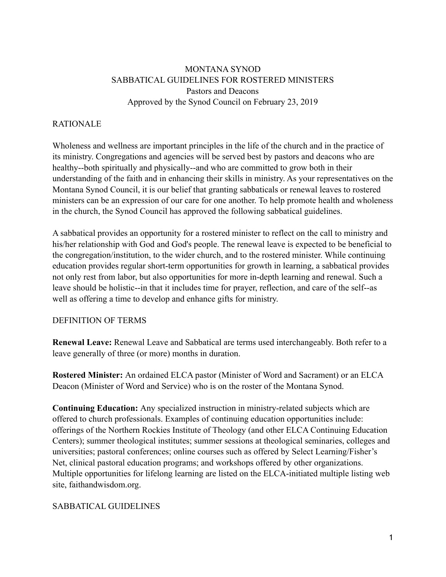# MONTANA SYNOD SABBATICAL GUIDELINES FOR ROSTERED MINISTERS Pastors and Deacons Approved by the Synod Council on February 23, 2019

### RATIONALE

Wholeness and wellness are important principles in the life of the church and in the practice of its ministry. Congregations and agencies will be served best by pastors and deacons who are healthy--both spiritually and physically--and who are committed to grow both in their understanding of the faith and in enhancing their skills in ministry. As your representatives on the Montana Synod Council, it is our belief that granting sabbaticals or renewal leaves to rostered ministers can be an expression of our care for one another. To help promote health and wholeness in the church, the Synod Council has approved the following sabbatical guidelines.

A sabbatical provides an opportunity for a rostered minister to reflect on the call to ministry and his/her relationship with God and God's people. The renewal leave is expected to be beneficial to the congregation/institution, to the wider church, and to the rostered minister. While continuing education provides regular short-term opportunities for growth in learning, a sabbatical provides not only rest from labor, but also opportunities for more in-depth learning and renewal. Such a leave should be holistic--in that it includes time for prayer, reflection, and care of the self--as well as offering a time to develop and enhance gifts for ministry.

### DEFINITION OF TERMS

**Renewal Leave:** Renewal Leave and Sabbatical are terms used interchangeably. Both refer to a leave generally of three (or more) months in duration.

**Rostered Minister:** An ordained ELCA pastor (Minister of Word and Sacrament) or an ELCA Deacon (Minister of Word and Service) who is on the roster of the Montana Synod.

**Continuing Education:** Any specialized instruction in ministry-related subjects which are offered to church professionals. Examples of continuing education opportunities include: offerings of the Northern Rockies Institute of Theology (and other ELCA Continuing Education Centers); summer theological institutes; summer sessions at theological seminaries, colleges and universities; pastoral conferences; online courses such as offered by Select Learning/Fisher's Net, clinical pastoral education programs; and workshops offered by other organizations. Multiple opportunities for lifelong learning are listed on the ELCA-initiated multiple listing web site, faithandwisdom.org.

## SABBATICAL GUIDELINES